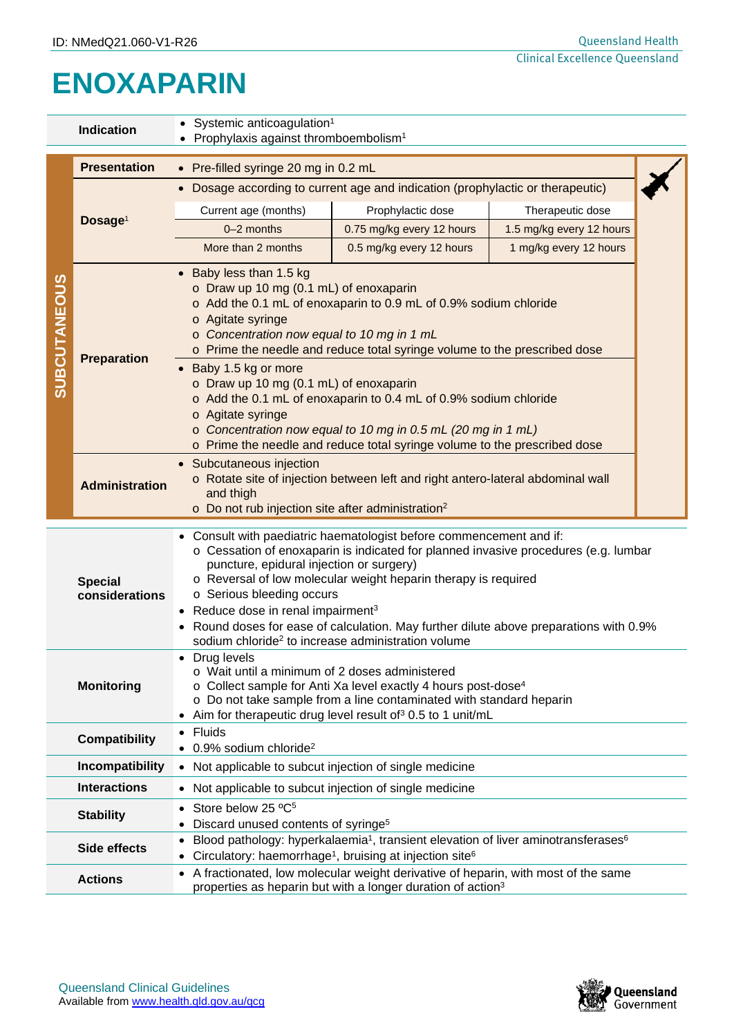## **ENOXAPARIN**

| <b>Indication</b>                                                     |                       | • Systemic anticoagulation <sup>1</sup><br>• Prophylaxis against thromboembolism <sup>1</sup>                                                                                                                                                                                                                                                                                                                                                                                                                                                                                              |                           |                          |  |  |  |  |
|-----------------------------------------------------------------------|-----------------------|--------------------------------------------------------------------------------------------------------------------------------------------------------------------------------------------------------------------------------------------------------------------------------------------------------------------------------------------------------------------------------------------------------------------------------------------------------------------------------------------------------------------------------------------------------------------------------------------|---------------------------|--------------------------|--|--|--|--|
|                                                                       | <b>Presentation</b>   | • Pre-filled syringe 20 mg in 0.2 mL                                                                                                                                                                                                                                                                                                                                                                                                                                                                                                                                                       |                           |                          |  |  |  |  |
| <b>SUBCUTANEOUS</b>                                                   | Dosage <sup>1</sup>   | Dosage according to current age and indication (prophylactic or therapeutic)<br>$\bullet$                                                                                                                                                                                                                                                                                                                                                                                                                                                                                                  |                           |                          |  |  |  |  |
|                                                                       |                       | Current age (months)                                                                                                                                                                                                                                                                                                                                                                                                                                                                                                                                                                       | Prophylactic dose         | Therapeutic dose         |  |  |  |  |
|                                                                       |                       | 0-2 months                                                                                                                                                                                                                                                                                                                                                                                                                                                                                                                                                                                 | 0.75 mg/kg every 12 hours | 1.5 mg/kg every 12 hours |  |  |  |  |
|                                                                       |                       | More than 2 months                                                                                                                                                                                                                                                                                                                                                                                                                                                                                                                                                                         | 0.5 mg/kg every 12 hours  | 1 mg/kg every 12 hours   |  |  |  |  |
|                                                                       | <b>Preparation</b>    | Baby less than 1.5 kg<br>o Draw up 10 mg (0.1 mL) of enoxaparin<br>o Add the 0.1 mL of enoxaparin to 0.9 mL of 0.9% sodium chloride<br>o Agitate syringe<br>o Concentration now equal to 10 mg in 1 mL<br>o Prime the needle and reduce total syringe volume to the prescribed dose<br>Baby 1.5 kg or more<br>o Draw up 10 mg (0.1 mL) of enoxaparin<br>o Add the 0.1 mL of enoxaparin to 0.4 mL of 0.9% sodium chloride<br>o Agitate syringe<br>o Concentration now equal to 10 mg in 0.5 mL (20 mg in 1 mL)<br>o Prime the needle and reduce total syringe volume to the prescribed dose |                           |                          |  |  |  |  |
|                                                                       | <b>Administration</b> | Subcutaneous injection<br>o Rotate site of injection between left and right antero-lateral abdominal wall<br>and thigh<br>o Do not rub injection site after administration <sup>2</sup>                                                                                                                                                                                                                                                                                                                                                                                                    |                           |                          |  |  |  |  |
| <b>Special</b><br>considerations                                      |                       | Consult with paediatric haematologist before commencement and if:<br>$\bullet$<br>o Cessation of enoxaparin is indicated for planned invasive procedures (e.g. lumbar<br>puncture, epidural injection or surgery)<br>o Reversal of low molecular weight heparin therapy is required<br>o Serious bleeding occurs<br>• Reduce dose in renal impairment <sup>3</sup><br>Round doses for ease of calculation. May further dilute above preparations with 0.9%<br>sodium chloride <sup>2</sup> to increase administration volume                                                               |                           |                          |  |  |  |  |
| <b>Monitoring</b>                                                     |                       | Drug levels<br>o Wait until a minimum of 2 doses administered<br>o Collect sample for Anti Xa level exactly 4 hours post-dose <sup>4</sup><br>o Do not take sample from a line contaminated with standard heparin<br>Aim for therapeutic drug level result of 30.5 to 1 unit/mL                                                                                                                                                                                                                                                                                                            |                           |                          |  |  |  |  |
| Fluids<br><b>Compatibility</b><br>• 0.9% sodium chloride <sup>2</sup> |                       |                                                                                                                                                                                                                                                                                                                                                                                                                                                                                                                                                                                            |                           |                          |  |  |  |  |
|                                                                       | Incompatibility       | Not applicable to subcut injection of single medicine<br>$\bullet$                                                                                                                                                                                                                                                                                                                                                                                                                                                                                                                         |                           |                          |  |  |  |  |
|                                                                       | <b>Interactions</b>   | Not applicable to subcut injection of single medicine                                                                                                                                                                                                                                                                                                                                                                                                                                                                                                                                      |                           |                          |  |  |  |  |
| <b>Stability</b>                                                      |                       | Store below 25 °C <sup>5</sup><br>Discard unused contents of syringe <sup>5</sup><br>$\bullet$                                                                                                                                                                                                                                                                                                                                                                                                                                                                                             |                           |                          |  |  |  |  |
|                                                                       | Side effects          | Blood pathology: hyperkalaemia <sup>1</sup> , transient elevation of liver aminotransferases <sup>6</sup><br>$\bullet$<br>Circulatory: haemorrhage <sup>1</sup> , bruising at injection site <sup>6</sup>                                                                                                                                                                                                                                                                                                                                                                                  |                           |                          |  |  |  |  |
|                                                                       | <b>Actions</b>        | A fractionated, low molecular weight derivative of heparin, with most of the same<br>properties as heparin but with a longer duration of action <sup>3</sup>                                                                                                                                                                                                                                                                                                                                                                                                                               |                           |                          |  |  |  |  |